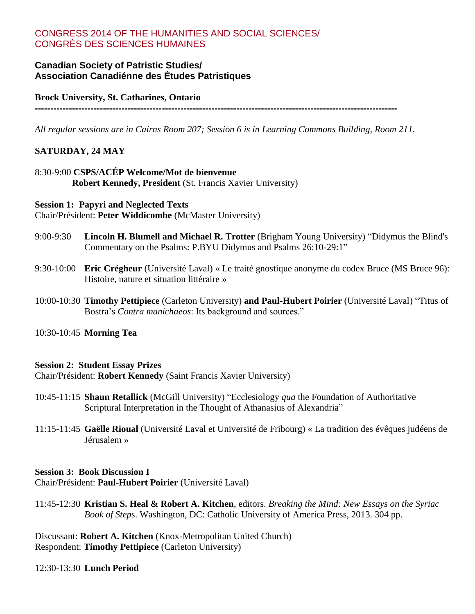## CONGRESS 2014 OF THE HUMANITIES AND SOCIAL SCIENCES/ CONGRÈS DES SCIENCES HUMAINES

## **Canadian Society of Patristic Studies/ Association Canadiénne des Études Patristiques**

#### **Brock University, St. Catharines, Ontario**

**---------------------------------------------------------------------------------------------------------------------**

*All regular sessions are in Cairns Room 207; Session 6 is in Learning Commons Building, Room 211.*

## **SATURDAY, 24 MAY**

## 8:30-9:00 **CSPS/ACÉP Welcome/Mot de bienvenue Robert Kennedy, President** (St. Francis Xavier University)

**Session 1: Papyri and Neglected Texts** Chair/Président: **Peter Widdicombe** (McMaster University)

- 9:00-9:30 **Lincoln H. Blumell and Michael R. Trotter** (Brigham Young University) "Didymus the Blind's Commentary on the Psalms: P.BYU Didymus and Psalms 26:10-29:1"
- 9:30-10:00 **Eric Crégheur** (Université Laval) « Le traité gnostique anonyme du codex Bruce (MS Bruce 96): Histoire, nature et situation littéraire »
- 10:00-10:30 **Timothy Pettipiece** (Carleton University) **and Paul-Hubert Poirier** (Université Laval) "Titus of Bostra's *Contra manichaeos*: Its background and sources."

10:30-10:45 **Morning Tea**

#### **Session 2: Student Essay Prizes**

Chair/Président: **Robert Kennedy** (Saint Francis Xavier University)

- 10:45-11:15 **Shaun Retallick** (McGill University) "Ecclesiology *qua* the Foundation of Authoritative Scriptural Interpretation in the Thought of Athanasius of Alexandria"
- 11:15-11:45 **Gaëlle Rioual** (Université Laval et Université de Fribourg) « La tradition des évêques judéens de Jérusalem »

#### **Session 3: Book Discussion I** Chair/Président: **Paul-Hubert Poirier** (Université Laval)

11:45-12:30 **Kristian S. Heal & Robert A. Kitchen**, editors. *Breaking the Mind: New Essays on the Syriac Book of Step*s. Washington, DC: Catholic University of America Press, 2013. 304 pp.

Discussant: **Robert A. Kitchen** (Knox-Metropolitan United Church) Respondent: **Timothy Pettipiece** (Carleton University)

#### 12:30-13:30 **Lunch Period**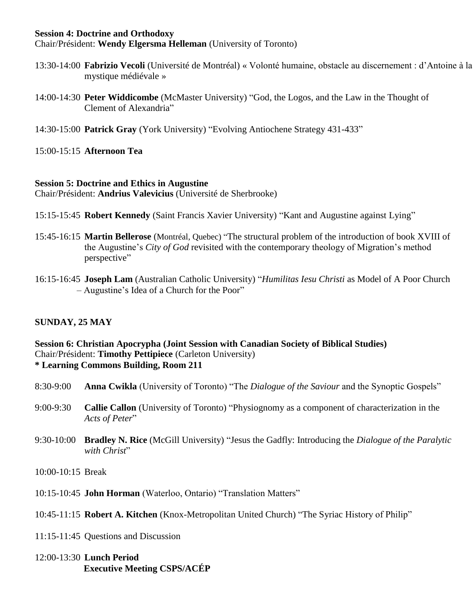#### **Session 4: Doctrine and Orthodoxy**

Chair/Président: **Wendy Elgersma Helleman** (University of Toronto)

- 13:30-14:00 **Fabrizio Vecoli** (Université de Montréal) « Volonté humaine, obstacle au discernement : d'Antoine à la mystique médiévale »
- 14:00-14:30 **Peter Widdicombe** (McMaster University) "God, the Logos, and the Law in the Thought of Clement of Alexandria"
- 14:30-15:00 **Patrick Gray** (York University) "Evolving Antiochene Strategy 431-433"

15:00-15:15 **Afternoon Tea** 

#### **Session 5: Doctrine and Ethics in Augustine**

Chair/Président: **Andrius Valevicius** (Université de Sherbrooke)

- 15:15-15:45 **Robert Kennedy** (Saint Francis Xavier University) "Kant and Augustine against Lying"
- 15:45-16:15 **Martin Bellerose** (Montréal, Quebec) "The structural problem of the introduction of book XVIII of the Augustine's *City of God* revisited with the contemporary theology of Migration's method perspective"
- 16:15-16:45 **Joseph Lam** (Australian Catholic University) "*Humilitas Iesu Christi* as Model of A Poor Church – Augustine's Idea of a Church for the Poor"

## **SUNDAY, 25 MAY**

#### **Session 6: Christian Apocrypha (Joint Session with Canadian Society of Biblical Studies)** Chair/Président: **Timothy Pettipiece** (Carleton University) **\* Learning Commons Building, Room 211**

- 8:30-9:00 **Anna Cwikla** (University of Toronto) "The *Dialogue of the Saviour* and the Synoptic Gospels"
- 9:00-9:30 **Callie Callon** (University of Toronto) "Physiognomy as a component of characterization in the *Acts of Peter*"
- 9:30-10:00 **Bradley N. Rice** (McGill University) "Jesus the Gadfly: Introducing the *Dialogue of the Paralytic*  with Christ"
- 10:00-10:15 Break
- 10:15-10:45 **John Horman** (Waterloo, Ontario) "Translation Matters"
- 10:45-11:15 **Robert A. Kitchen** (Knox-Metropolitan United Church) "The Syriac History of Philip"
- 11:15-11:45 Questions and Discussion
- 12:00-13:30 **Lunch Period Executive Meeting CSPS/ACÉP**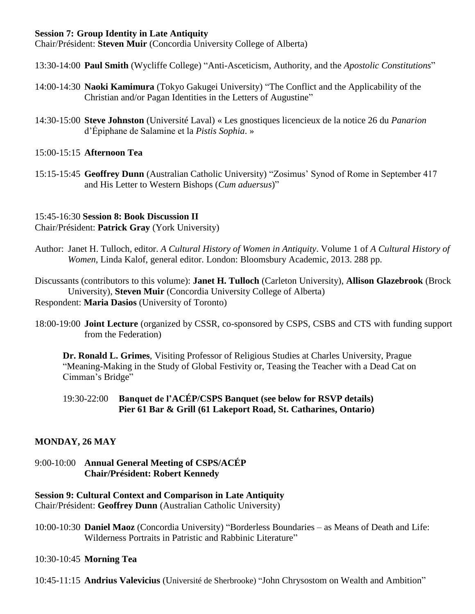## **Session 7: Group Identity in Late Antiquity**

Chair/Président: **Steven Muir** (Concordia University College of Alberta)

13:30-14:00 **Paul Smith** (Wycliffe College) "Anti-Asceticism, Authority, and the *Apostolic Constitutions*"

- 14:00-14:30 **Naoki Kamimura** (Tokyo Gakugei University) "The Conflict and the Applicability of the Christian and/or Pagan Identities in the Letters of Augustine"
- 14:30-15:00 **Steve Johnston** (Université Laval) « Les gnostiques licencieux de la notice 26 du *Panarion* d'Épiphane de Salamine et la *Pistis Sophia*. »

## 15:00-15:15 **Afternoon Tea**

15:15-15:45 **Geoffrey Dunn** (Australian Catholic University) "Zosimus' Synod of Rome in September 417 and His Letter to Western Bishops (*Cum aduersus*)"

## 15:45-16:30 **Session 8: Book Discussion II**

Chair/Président: **Patrick Gray** (York University)

Author: Janet H. Tulloch, editor. *A Cultural History of Women in Antiquity*. Volume 1 of *A Cultural History of Women*, Linda Kalof, general editor. London: Bloomsbury Academic, 2013. 288 pp.

Discussants (contributors to this volume): **Janet H. Tulloch** (Carleton University), **Allison Glazebrook** (Brock University), **Steven Muir** (Concordia University College of Alberta) Respondent: **Maria Dasios** (University of Toronto)

18:00-19:00 **Joint Lecture** (organized by CSSR, co-sponsored by CSPS, CSBS and CTS with funding support from the Federation)

**Dr. Ronald L. Grimes**, Visiting Professor of Religious Studies at Charles University, Prague "Meaning-Making in the Study of Global Festivity or, Teasing the Teacher with a Dead Cat on Cimman's Bridge"

## 19:30-22:00 **Banquet de l'ACÉP/CSPS Banquet (see below for RSVP details) Pier 61 Bar & Grill (61 Lakeport Road, St. Catharines, Ontario)**

## **MONDAY, 26 MAY**

## 9:00-10:00 **Annual General Meeting of CSPS/ACÉP Chair/Président: Robert Kennedy**

## **Session 9: Cultural Context and Comparison in Late Antiquity**

Chair/Président: **Geoffrey Dunn** (Australian Catholic University)

10:00-10:30 **Daniel Maoz** (Concordia University) "Borderless Boundaries – as Means of Death and Life: Wilderness Portraits in Patristic and Rabbinic Literature"

## 10:30-10:45 **Morning Tea**

10:45-11:15 **Andrius Valevicius** (Université de Sherbrooke) "John Chrysostom on Wealth and Ambition"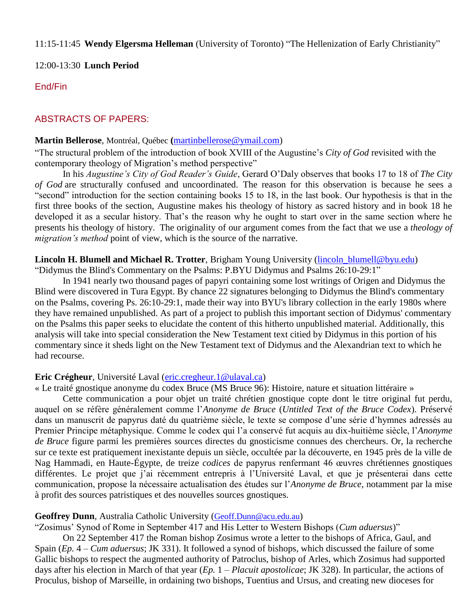11:15-11:45 **Wendy Elgersma Helleman** (University of Toronto) "The Hellenization of Early Christianity"

12:00-13:30 **Lunch Period**

## End/Fin

## ABSTRACTS OF PAPERS:

#### **Martin Bellerose**, Montréal, Québec **(**[martinbellerose@ymail.com\)](mailto:martinbellerose@ymail.com)

"The structural problem of the introduction of book XVIII of the Augustine's *City of God* revisited with the contemporary theology of Migration's method perspective"

In his *Augustine's City of God Reader's Guide*, Gerard O'Daly observes that books 17 to 18 of *The City of God* are structurally confused and uncoordinated. The reason for this observation is because he sees a "second" introduction for the section containing books 15 to 18, in the last book. Our hypothesis is that in the first three books of the section, Augustine makes his theology of history as sacred history and in book 18 he developed it as a secular history. That's the reason why he ought to start over in the same section where he presents his theology of history. The originality of our argument comes from the fact that we use a *theology of migration's method* point of view, which is the source of the narrative.

# **Lincoln H. Blumell and Michael R. Trotter**, Brigham Young University [\(lincoln\\_blumell@byu.edu\)](mailto:lincoln_blumell@byu.edu)

"Didymus the Blind's Commentary on the Psalms: P.BYU Didymus and Psalms 26:10-29:1"

In 1941 nearly two thousand pages of papyri containing some lost writings of Origen and Didymus the Blind were discovered in Tura Egypt. By chance 22 signatures belonging to Didymus the Blind's commentary on the Psalms, covering Ps. 26:10-29:1, made their way into BYU's library collection in the early 1980s where they have remained unpublished. As part of a project to publish this important section of Didymus' commentary on the Psalms this paper seeks to elucidate the content of this hitherto unpublished material. Additionally, this analysis will take into special consideration the New Testament text citied by Didymus in this portion of his commentary since it sheds light on the New Testament text of Didymus and the Alexandrian text to which he had recourse.

#### **Eric Crégheur**, Université Laval [\(eric.cregheur.1@ulaval.ca\)](mailto:eric.cregheur.1@ulaval.ca)

« Le traité gnostique anonyme du codex Bruce (MS Bruce 96): Histoire, nature et situation littéraire »

Cette communication a pour objet un traité chrétien gnostique copte dont le titre original fut perdu, auquel on se réfère généralement comme l'*Anonyme de Bruce* (*Untitled Text of the Bruce Codex*). Préservé dans un manuscrit de papyrus daté du quatrième siècle, le texte se compose d'une série d'hymnes adressés au Premier Principe métaphysique. Comme le codex qui l'a conservé fut acquis au dix-huitième siècle, l'*Anonyme de Bruce* figure parmi les premières sources directes du gnosticisme connues des chercheurs. Or, la recherche sur ce texte est pratiquement inexistante depuis un siècle, occultée par la découverte, en 1945 près de la ville de Nag Hammadi, en Haute-Égypte, de treize *codices* de papyrus renfermant 46 œuvres chrétiennes gnostiques différentes. Le projet que j'ai récemment entrepris à l'Université Laval, et que je présenterai dans cette communication, propose la nécessaire actualisation des études sur l'*Anonyme de Bruce*, notamment par la mise à profit des sources patristiques et des nouvelles sources gnostiques.

#### **Geoffrey Dunn**, Australia Catholic University ([Geoff.Dunn@acu.edu.au](mailto:Geoff.Dunn@acu.edu.au))

"Zosimus' Synod of Rome in September 417 and His Letter to Western Bishops (*Cum aduersus*)"

On 22 September 417 the Roman bishop Zosimus wrote a letter to the bishops of Africa, Gaul, and Spain (*Ep.* 4 – *Cum aduersus*; JK 331). It followed a synod of bishops, which discussed the failure of some Gallic bishops to respect the augmented authority of Patroclus, bishop of Arles, which Zosimus had supported days after his election in March of that year (*Ep.* 1 – *Placuit apostolicae*; JK 328). In particular, the actions of Proculus, bishop of Marseille, in ordaining two bishops, Tuentius and Ursus, and creating new dioceses for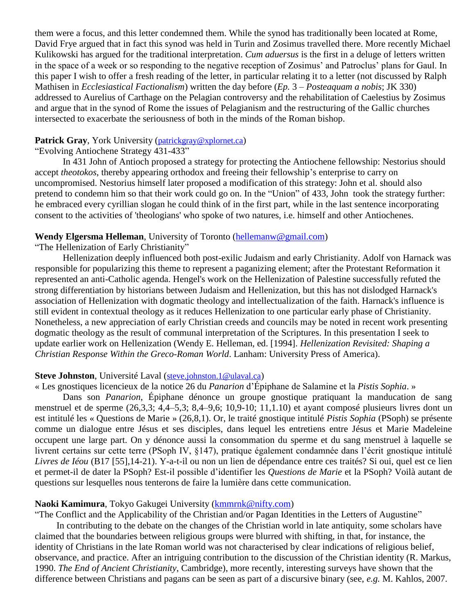them were a focus, and this letter condemned them. While the synod has traditionally been located at Rome, David Frye argued that in fact this synod was held in Turin and Zosimus travelled there. More recently Michael Kulikowski has argued for the traditional interpretation. *Cum aduersus* is the first in a deluge of letters written in the space of a week or so responding to the negative reception of Zosimus' and Patroclus' plans for Gaul. In this paper I wish to offer a fresh reading of the letter, in particular relating it to a letter (not discussed by Ralph Mathisen in *Ecclesiastical Factionalism*) written the day before (*Ep.* 3 – *Posteaquam a nobis*; JK 330) addressed to Aurelius of Carthage on the Pelagian controversy and the rehabilitation of Caelestius by Zosimus and argue that in the synod of Rome the issues of Pelagianism and the restructuring of the Gallic churches intersected to exacerbate the seriousness of both in the minds of the Roman bishop.

#### Patrick Gray, York University ([patrickgray@xplornet.ca](mailto:patrickgray@xplornet.ca))

### "Evolving Antiochene Strategy 431-433"

In 431 John of Antioch proposed a strategy for protecting the Antiochene fellowship: Nestorius should accept *theotokos*, thereby appearing orthodox and freeing their fellowship's enterprise to carry on uncompromised. Nestorius himself later proposed a modification of this strategy: John et al. should also pretend to condemn him so that their work could go on. In the "Union" of 433, John took the strategy further: he embraced every cyrillian slogan he could think of in the first part, while in the last sentence incorporating consent to the activities of 'theologians' who spoke of two natures, i.e. himself and other Antiochenes.

#### **Wendy Elgersma Helleman**, University of Toronto [\(hellemanw@gmail.com\)](mailto:hellemanw@gmail.com)

"The Hellenization of Early Christianity"

Hellenization deeply influenced both post-exilic Judaism and early Christianity. Adolf von Harnack was responsible for popularizing this theme to represent a paganizing element; after the Protestant Reformation it represented an anti-Catholic agenda. Hengel's work on the Hellenization of Palestine successfully refuted the strong differentiation by historians between Judaism and Hellenization, but this has not dislodged Harnack's association of Hellenization with dogmatic theology and intellectualization of the faith. Harnack's influence is still evident in contextual theology as it reduces Hellenization to one particular early phase of Christianity. Nonetheless, a new appreciation of early Christian creeds and councils may be noted in recent work presenting dogmatic theology as the result of communal interpretation of the Scriptures. In this presentation I seek to update earlier work on Hellenization (Wendy E. Helleman, ed. [1994]. *Hellenization Revisited: Shaping a Christian Response Within the Greco-Roman World*. Lanham: University Press of America).

#### **Steve Johnston**, Université Laval ([steve.johnston.1@ulaval.ca](mailto:steve.johnston.1@ulaval.ca))

« Les gnostiques licencieux de la notice 26 du *Panarion* d'Épiphane de Salamine et la *Pistis Sophia*. »

Dans son *Panarion*, Épiphane dénonce un groupe gnostique pratiquant la manducation de sang menstruel et de sperme (26,3,3; 4,4–5,3; 8,4–9,6; 10,9-10; 11,1.10) et ayant composé plusieurs livres dont un est intitulé les « Questions de Marie » (26,8,1). Or, le traité gnostique intitulé *Pistis Sophia* (PSoph) se présente comme un dialogue entre Jésus et ses disciples, dans lequel les entretiens entre Jésus et Marie Madeleine occupent une large part. On y dénonce aussi la consommation du sperme et du sang menstruel à laquelle se livrent certains sur cette terre (PSoph IV, §147), pratique également condamnée dans l'écrit gnostique intitulé *Livres de Iéou* (B17 [55],14-21). Y-a-t-il ou non un lien de dépendance entre ces traités? Si oui, quel est ce lien et permet-il de dater la PSoph? Est-il possible d'identifier les *Questions de Marie* et la PSoph? Voilà autant de questions sur lesquelles nous tenterons de faire la lumière dans cette communication.

#### **Naoki Kamimura**, Tokyo Gakugei University [\(kmmrnk@nifty.com\)](mailto:kmmrnk@nifty.com)

"The Conflict and the Applicability of the Christian and/or Pagan Identities in the Letters of Augustine"

In contributing to the debate on the changes of the Christian world in late antiquity, some scholars have claimed that the boundaries between religious groups were blurred with shifting, in that, for instance, the identity of Christians in the late Roman world was not characterised by clear indications of religious belief, observance, and practice. After an intriguing contribution to the discussion of the Christian identity (R. Markus, 1990. *The End of Ancient Christianity*, Cambridge), more recently, interesting surveys have shown that the difference between Christians and pagans can be seen as part of a discursive binary (see, *e.g.* M. Kahlos, 2007.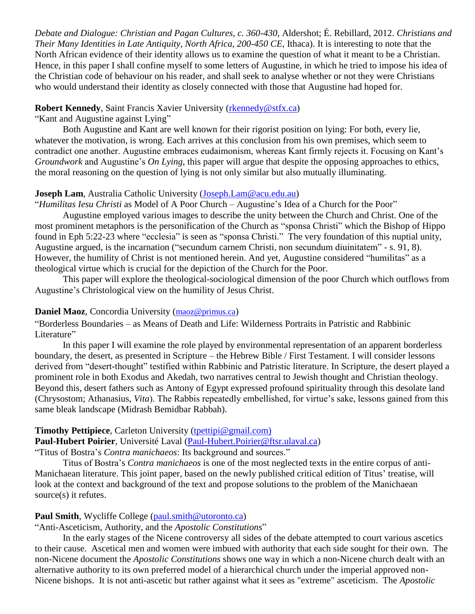*Debate and Dialogue: Christian and Pagan Cultures, c. 360-430*, Aldershot; É. Rebillard, 2012. *Christians and Their Many Identities in Late Antiquity, North Africa, 200-450 CE*, Ithaca). It is interesting to note that the North African evidence of their identity allows us to examine the question of what it meant to be a Christian. Hence, in this paper I shall confine myself to some letters of Augustine, in which he tried to impose his idea of the Christian code of behaviour on his reader, and shall seek to analyse whether or not they were Christians who would understand their identity as closely connected with those that Augustine had hoped for.

#### **Robert Kennedy, Saint Francis Xavier University [\(rkennedy@stfx.ca\)](mailto:rkennedy@stfx.ca)**

"Kant and Augustine against Lying"

Both Augustine and Kant are well known for their rigorist position on lying: For both, every lie, whatever the motivation, is wrong. Each arrives at this conclusion from his own premises, which seem to contradict one another. Augustine embraces eudaimonism, whereas Kant firmly rejects it. Focusing on Kant's *Groundwork* and Augustine's *On Lying*, this paper will argue that despite the opposing approaches to ethics, the moral reasoning on the question of lying is not only similar but also mutually illuminating.

#### **Joseph Lam, Australia Catholic University (Joseph, Lam @acu.edu.au)**

"*Humilitas Iesu Christi* as Model of A Poor Church – Augustine's Idea of a Church for the Poor"

Augustine employed various images to describe the unity between the Church and Christ. One of the most prominent metaphors is the personification of the Church as "sponsa Christi" which the Bishop of Hippo found in Eph 5:22-23 where "ecclesia" is seen as "sponsa Christi." The very foundation of this nuptial unity, Augustine argued, is the incarnation ("secundum carnem Christi, non secundum diuinitatem" - s. 91, 8). However, the humility of Christ is not mentioned herein. And yet, Augustine considered "humilitas" as a theological virtue which is crucial for the depiction of the Church for the Poor.

This paper will explore the theological-sociological dimension of the poor Church which outflows from Augustine's Christological view on the humility of Jesus Christ.

#### **Daniel Maoz**, Concordia University ([maoz@primus.ca](mailto:maoz@primus.ca))

"Borderless Boundaries – as Means of Death and Life: Wilderness Portraits in Patristic and Rabbinic Literature"

In this paper I will examine the role played by environmental representation of an apparent borderless boundary, the desert, as presented in Scripture – the Hebrew Bible / First Testament. I will consider lessons derived from "desert-thought" testified within Rabbinic and Patristic literature. In Scripture, the desert played a prominent role in both Exodus and Akedah, two narratives central to Jewish thought and Christian theology. Beyond this, desert fathers such as Antony of Egypt expressed profound spirituality through this desolate land (Chrysostom; Athanasius, *Vita*). The Rabbis repeatedly embellished, for virtue's sake, lessons gained from this same bleak landscape (Midrash Bemidbar Rabbah).

#### **Timothy Pettipiece**, Carleton University (thettipi@gmail.com)

**Paul-Hubert Poirier**, Université Laval [\(Paul-Hubert.Poirier@ftsr.ulaval.ca\)](mailto:Paul-Hubert.Poirier@ftsr.ulaval.ca)

"Titus of Bostra's *Contra manichaeos*: Its background and sources."

Titus of Bostra's *Contra manichaeos* is one of the most neglected texts in the entire corpus of anti-Manichaean literature. This joint paper, based on the newly published critical edition of Titus' treatise, will look at the context and background of the text and propose solutions to the problem of the Manichaean source(s) it refutes.

#### **Paul Smith,** Wycliffe College [\(paul.smith@utoronto.ca\)](mailto:paul.smith@utoronto.ca)

"Anti-Asceticism, Authority, and the *Apostolic Constitutions*"

In the early stages of the Nicene controversy all sides of the debate attempted to court various ascetics to their cause. Ascetical men and women were imbued with authority that each side sought for their own. The non-Nicene document the *Apostolic Constitutions* shows one way in which a non-Nicene church dealt with an alternative authority to its own preferred model of a hierarchical church under the imperial approved non-Nicene bishops. It is not anti-ascetic but rather against what it sees as "extreme" asceticism. The *Apostolic*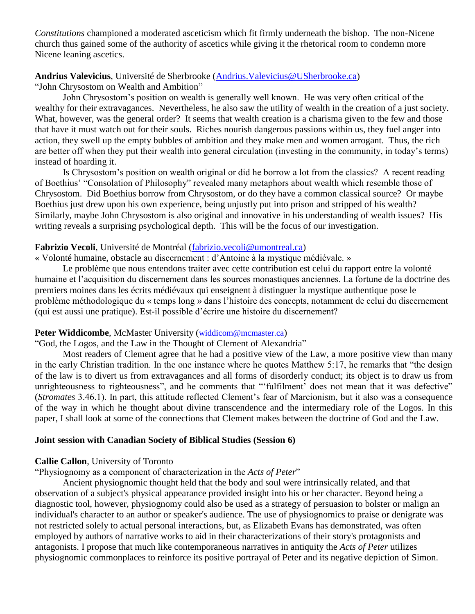*Constitutions* championed a moderated asceticism which fit firmly underneath the bishop. The non-Nicene church thus gained some of the authority of ascetics while giving it the rhetorical room to condemn more Nicene leaning ascetics.

## **Andrius Valevicius**, Université de Sherbrooke (Andrius.Valevicius@USherbrooke.ca) "John Chrysostom on Wealth and Ambition"

John Chrysostom's position on wealth is generally well known. He was very often critical of the wealthy for their extravagances. Nevertheless, he also saw the utility of wealth in the creation of a just society. What, however, was the general order? It seems that wealth creation is a charisma given to the few and those that have it must watch out for their souls. Riches nourish dangerous passions within us, they fuel anger into action, they swell up the empty bubbles of ambition and they make men and women arrogant. Thus, the rich are better off when they put their wealth into general circulation (investing in the community, in today's terms) instead of hoarding it.

Is Chrysostom's position on wealth original or did he borrow a lot from the classics? A recent reading of Boethius' "Consolation of Philosophy" revealed many metaphors about wealth which resemble those of Chrysostom. Did Boethius borrow from Chrysostom, or do they have a common classical source? Or maybe Boethius just drew upon his own experience, being unjustly put into prison and stripped of his wealth? Similarly, maybe John Chrysostom is also original and innovative in his understanding of wealth issues? His writing reveals a surprising psychological depth. This will be the focus of our investigation.

## **Fabrizio Vecoli**, Université de Montréal [\(fabrizio.vecoli@umontreal.ca\)](mailto:fabrizio.vecoli@umontreal.ca)

« Volonté humaine, obstacle au discernement : d'Antoine à la mystique médiévale. »

Le problème que nous entendons traiter avec cette contribution est celui du rapport entre la volonté humaine et l'acquisition du discernement dans les sources monastiques anciennes. La fortune de la doctrine des premiers moines dans les écrits médiévaux qui enseignent à distinguer la mystique authentique pose le problème méthodologique du « temps long » dans l'histoire des concepts, notamment de celui du discernement (qui est aussi une pratique). Est-il possible d'écrire une histoire du discernement?

## Peter Widdicombe, McMaster University ([widdicom@mcmaster.ca](mailto:widdicom@mcmaster.ca))

"God, the Logos, and the Law in the Thought of Clement of Alexandria"

Most readers of Clement agree that he had a positive view of the Law, a more positive view than many in the early Christian tradition. In the one instance where he quotes Matthew 5:17, he remarks that "the design of the law is to divert us from extravagances and all forms of disorderly conduct; its object is to draw us from unrighteousness to righteousness", and he comments that "'fulfilment' does not mean that it was defective" (*Stromates* 3.46.1). In part, this attitude reflected Clement's fear of Marcionism, but it also was a consequence of the way in which he thought about divine transcendence and the intermediary role of the Logos. In this paper, I shall look at some of the connections that Clement makes between the doctrine of God and the Law.

## **Joint session with Canadian Society of Biblical Studies (Session 6)**

## **Callie Callon**, University of Toronto

"Physiognomy as a component of characterization in the *Acts of Peter*"

Ancient physiognomic thought held that the body and soul were intrinsically related, and that observation of a subject's physical appearance provided insight into his or her character. Beyond being a diagnostic tool, however, physiognomy could also be used as a strategy of persuasion to bolster or malign an individual's character to an author or speaker's audience. The use of physiognomics to praise or denigrate was not restricted solely to actual personal interactions, but, as Elizabeth Evans has demonstrated, was often employed by authors of narrative works to aid in their characterizations of their story's protagonists and antagonists. I propose that much like contemporaneous narratives in antiquity the *Acts of Peter* utilizes physiognomic commonplaces to reinforce its positive portrayal of Peter and its negative depiction of Simon.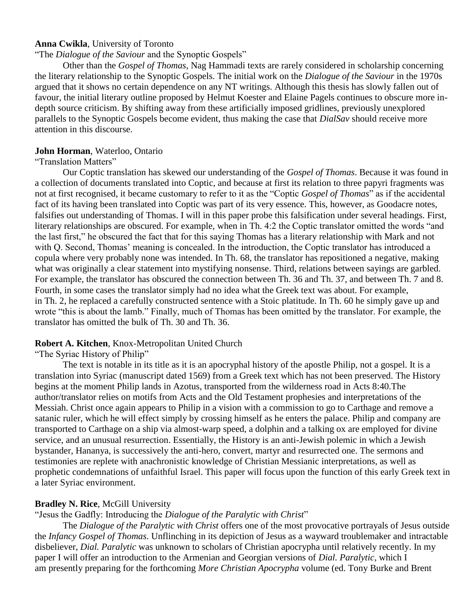#### **Anna Cwikla**, University of Toronto

#### "The *Dialogue of the Saviour* and the Synoptic Gospels"

Other than the *Gospel of Thomas*, Nag Hammadi texts are rarely considered in scholarship concerning the literary relationship to the Synoptic Gospels. The initial work on the *Dialogue of the Saviour* in the 1970s argued that it shows no certain dependence on any NT writings. Although this thesis has slowly fallen out of favour, the initial literary outline proposed by Helmut Koester and Elaine Pagels continues to obscure more indepth source criticism. By shifting away from these artificially imposed gridlines, previously unexplored parallels to the Synoptic Gospels become evident, thus making the case that *DialSav* should receive more attention in this discourse.

## **John Horman**, Waterloo, Ontario

#### "Translation Matters"

Our Coptic translation has skewed our understanding of the *Gospel of Thomas*. Because it was found in a collection of documents translated into Coptic, and because at first its relation to three papyri fragments was not at first recognised, it became customary to refer to it as the "Coptic *Gospel of Thomas*" as if the accidental fact of its having been translated into Coptic was part of its very essence. This, however, as Goodacre notes, falsifies out understanding of Thomas. I will in this paper probe this falsification under several headings. First, literary relationships are obscured. For example, when in Th. 4:2 the Coptic translator omitted the words "and the last first," he obscured the fact that for this saying Thomas has a literary relationship with Mark and not with Q. Second, Thomas' meaning is concealed. In the introduction, the Coptic translator has introduced a copula where very probably none was intended. In Th. 68, the translator has repositioned a negative, making what was originally a clear statement into mystifying nonsense. Third, relations between sayings are garbled. For example, the translator has obscured the connection between Th. 36 and Th. 37, and between Th. 7 and 8. Fourth, in some cases the translator simply had no idea what the Greek text was about. For example, in Th. 2, he replaced a carefully constructed sentence with a Stoic platitude. In Th. 60 he simply gave up and wrote "this is about the lamb." Finally, much of Thomas has been omitted by the translator. For example, the translator has omitted the bulk of Th. 30 and Th. 36.

#### **Robert A. Kitchen**, Knox-Metropolitan United Church

"The Syriac History of Philip"

The text is notable in its title as it is an apocryphal history of the apostle Philip, not a gospel. It is a translation into Syriac (manuscript dated 1569) from a Greek text which has not been preserved. The History begins at the moment Philip lands in Azotus, transported from the wilderness road in Acts 8:40.The author/translator relies on motifs from Acts and the Old Testament prophesies and interpretations of the Messiah. Christ once again appears to Philip in a vision with a commission to go to Carthage and remove a satanic ruler, which he will effect simply by crossing himself as he enters the palace. Philip and company are transported to Carthage on a ship via almost-warp speed, a dolphin and a talking ox are employed for divine service, and an unusual resurrection. Essentially, the History is an anti-Jewish polemic in which a Jewish bystander, Hananya, is successively the anti-hero, convert, martyr and resurrected one. The sermons and testimonies are replete with anachronistic knowledge of Christian Messianic interpretations, as well as prophetic condemnations of unfaithful Israel. This paper will focus upon the function of this early Greek text in a later Syriac environment.

#### **Bradley N. Rice, McGill University**

"Jesus the Gadfly: Introducing the *Dialogue of the Paralytic with Christ*"

The *Dialogue of the Paralytic with Christ* offers one of the most provocative portrayals of Jesus outside the *Infancy Gospel of Thomas*. Unflinching in its depiction of Jesus as a wayward troublemaker and intractable disbeliever, *Dial. Paralytic* was unknown to scholars of Christian apocrypha until relatively recently. In my paper I will offer an introduction to the Armenian and Georgian versions of *Dial. Paralytic*, which I am presently preparing for the forthcoming *More Christian Apocrypha* volume (ed. Tony Burke and Brent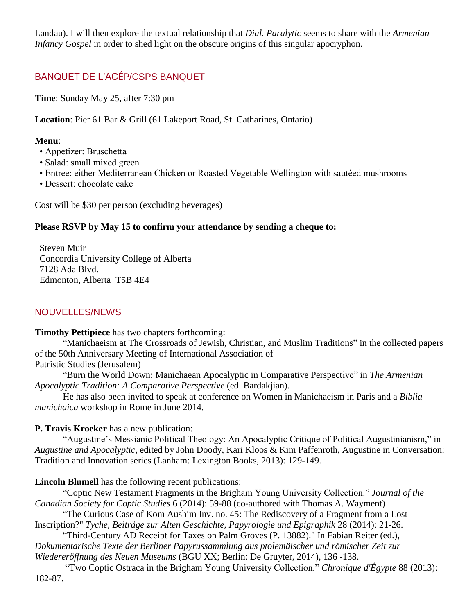Landau). I will then explore the textual relationship that *Dial. Paralytic* seems to share with the *Armenian Infancy Gospel* in order to shed light on the obscure origins of this singular apocryphon.

## BANQUET DE L'ACÉP/CSPS BANQUET

**Time**: Sunday May 25, after 7:30 pm

**Location**: Pier 61 Bar & Grill (61 Lakeport Road, St. Catharines, Ontario)

## **Menu**:

- Appetizer: Bruschetta
- Salad: small mixed green
- Entree: either Mediterranean Chicken or Roasted Vegetable Wellington with sautéed mushrooms
- Dessert: chocolate cake

Cost will be \$30 per person (excluding beverages)

## **Please RSVP by May 15 to confirm your attendance by sending a cheque to:**

 Steven Muir Concordia University College of Alberta 7128 Ada Blvd. Edmonton, Alberta T5B 4E4

## NOUVELLES/NEWS

**Timothy Pettipiece** has two chapters forthcoming:

"Manichaeism at The Crossroads of Jewish, Christian, and Muslim Traditions" in the collected papers of the 50th Anniversary Meeting of International Association of

Patristic Studies (Jerusalem)

"Burn the World Down: Manichaean Apocalyptic in Comparative Perspective" in *The Armenian Apocalyptic Tradition: A Comparative Perspective* (ed. Bardakjian).

He has also been invited to speak at conference on Women in Manichaeism in Paris and a *Biblia manichaica* workshop in Rome in June 2014.

**P. Travis Kroeker** has a new publication:

"Augustine's Messianic Political Theology: An Apocalyptic Critique of Political Augustinianism," in *Augustine and Apocalyptic*, edited by John Doody, Kari Kloos & Kim Paffenroth, Augustine in Conversation: Tradition and Innovation series (Lanham: Lexington Books, 2013): 129-149.

**Lincoln Blumell** has the following recent publications:

"Coptic New Testament Fragments in the Brigham Young University Collection." *Journal of the Canadian Society for Coptic Studies* 6 (2014): 59-88 (co-authored with Thomas A. Wayment)

"The Curious Case of Kom Aushim Inv. no. 45: The Rediscovery of a Fragment from a Lost Inscription?" *Tyche, Beiträge zur Alten Geschichte, Papyrologie und Epigraphik* 28 (2014): 21-26.

"Third-Century AD Receipt for Taxes on Palm Groves (P. 13882)." In Fabian Reiter (ed.), *Dokumentarische Texte der Berliner Papyrussammlung aus ptolemäischer und römischer Zeit zur Wiedereröffnung des Neuen Museums* (BGU XX; Berlin: De Gruyter, 2014), 136 -138.

"Two Coptic Ostraca in the Brigham Young University Collection." *Chronique d'Égypte* 88 (2013): 182-87.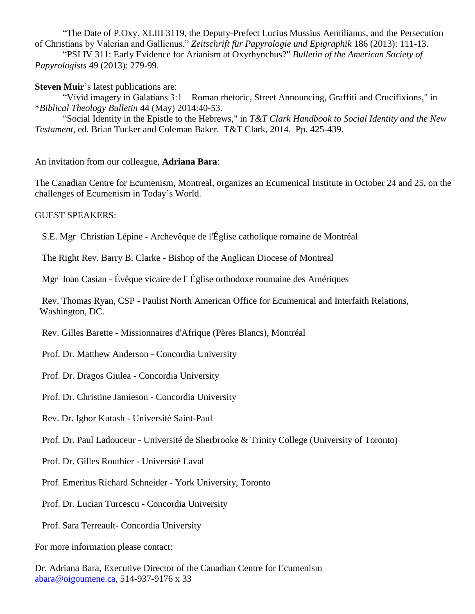"The Date of P.Oxy. XLIII 3119, the Deputy-Prefect Lucius Mussius Aemilianus, and the Persecution of Christians by Valerian and Gallienus." *Zeitschrift für Papyrologie und Epigraphik* 186 (2013): 111-13.

"PSI IV 311: Early Evidence for Arianism at Oxyrhynchus?" *Bulletin of the American Society of Papyrologists* 49 (2013): 279-99.

**Steven Muir**'s latest publications are:

"Vivid imagery in Galatians 3:1—Roman rhetoric, Street Announcing, Graffiti and Crucifixions," in \**Biblical Theology Bulletin* 44 (May) 2014:40-53.

"Social Identity in the Epistle to the Hebrews," in *T&T Clark Handbook to Social Identity and the New Testament*, ed. Brian Tucker and Coleman Baker. T&T Clark, 2014. Pp. 425-439.

An invitation from our colleague, **Adriana Bara**:

The Canadian Centre for Ecumenism, Montreal, organizes an Ecumenical Institute in October 24 and 25, on the challenges of Ecumenism in Today's World.

GUEST SPEAKERS:

S.E. Mgr Christian Lépine - Archevêque de l'Église catholique romaine de Montréal

The Right Rev. Barry B. Clarke - Bishop of the Anglican Diocese of Montreal

Mgr Ioan Casian - Évêque vicaire de l' Église orthodoxe roumaine des Amériques

 Rev. Thomas Ryan, CSP - Paulist North American Office for Ecumenical and Interfaith Relations, Washington, DC.

Rev. Gilles Barette - Missionnaires d'Afrique (Pères Blancs), Montréal

Prof. Dr. Matthew Anderson - Concordia University

Prof. Dr. Dragos Giulea - Concordia University

Prof. Dr. Christine Jamieson - Concordia University

Rev. Dr. Ighor Kutash - Université Saint-Paul

Prof. Dr. Paul Ladouceur - Université de Sherbrooke & Trinity College (University of Toronto)

Prof. Dr. Gilles Routhier - Université Laval

Prof. Emeritus Richard Schneider - York University, Toronto

Prof. Dr. Lucian Turcescu - Concordia University

Prof. Sara Terreault- Concordia University

For more information please contact:

Dr. Adriana Bara, Executive Director of the Canadian Centre for Ecumenism [abara@oigoumene.ca,](https://webmail.utoronto.ca/imp/message.php?index=25610) 514-937-9176 x 33